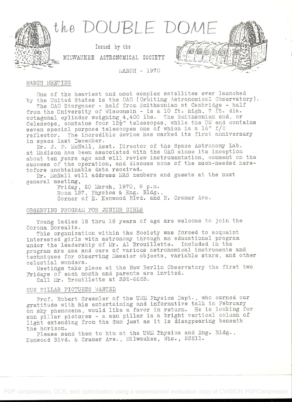

**MARCH - 1970** 

Issued by the

## MARCH MEETING

One of the heaviest and most complex satellites ever launched by the United States is the OAO (Orbiting Astronomical Observatory). The OAO Stargazer - half from Smithsonian at Cambridge - half from the University of Wisconsin - is a 10 ft. high, 7 ft. dia.

octagonal cylinder weighing 4,400 lbs. The Smithsonian end, or Celescope, contains four 12<sup>1</sup> telescopes, while the UW end contains seven special purpose telescopes one of which is a  $16$ "  $f/2$ reflector. The incredible device has marked its first anniversary in space last December.

Dr. J. F. McNall, Asst. Director of the Space Astronomy Lab. at Madison has been associated with the OAO since its inception about ten years ago and will review instrumentation, comment on the success of the operation, and discuss some of the much-needed heretofore unobtainable data received.

Dr. McNall will address MAS members and guests at the next general meeting,

Friday, 20 March, 1970, 8 p.m. Room 137, Physics & Eng. Bldg., Corner of E. Kenwood Blvd. and N. Cramer Ave.

## OBSERVING PROGRAM FOR JUNIOR GIRLS

Young ladies 12 thru 18 years of age are welcome to join the Corona Borealis.

This organization within the Society was formed to acquaint interested girls with astronomy through an educational program under the leadership of Mr. Al Brouillette. Included in the program are use and care of various astronomical instruments and techniques for observing Messier objects, variable stars, and other celestial wonders.

Meetings take place at the New Berlin Observatory the first two Fridays of each month and parents are invited.

Call Mr. Brouillette at 332-6623.

# SUN PILLAR PICTURES WANTED

Prof. Robert Greenler of the UWM Physics Dept., who earned our gratitude with his entertaining and informative talk in February on sky phenomena, would like a favor in return. He is looking for sun pillar pictures - a sun pillar is a bright vertical column of light extending from the Sun just as it is disappearing beneath the horizon.

Please send them to him at the UWM Physics and Eng. Bldg.. Kenwood Blvd. & Cramer Ave., Milwaukee, Wis., 53211.